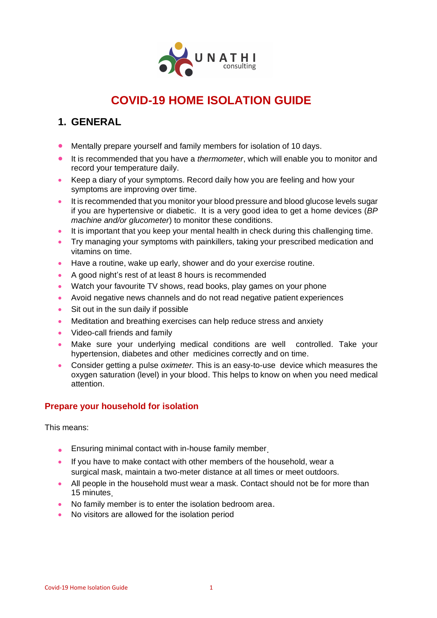

# **COVID-19 HOME ISOLATION GUIDE**

## **1. GENERAL**

- Mentally prepare yourself and family members for isolation of 10 days.
- It is recommended that you have a *thermometer*, which will enable you to monitor and record your temperature daily.
- Keep a diary of your symptoms. Record daily how you are feeling and how your symptoms are improving over time.
- It is recommended that you monitor your blood pressure and blood glucose levels sugar if you are hypertensive or diabetic. It is a very good idea to get a home devices (*BP machine and/or glucometer*) to monitor these conditions.
- It is important that you keep your mental health in check during this challenging time.
- Try managing your symptoms with painkillers, taking your prescribed medication and vitamins on time.
- Have a routine, wake up early, shower and do your exercise routine.
- A good night's rest of at least 8 hours is recommended
- Watch your favourite TV shows, read books, play games on your phone
- Avoid negative news channels and do not read negative patient experiences
- Sit out in the sun daily if possible
- Meditation and breathing exercises can help reduce stress and anxiety
- Video-call friends and family
- Make sure your underlying medical conditions are well controlled. Take your hypertension, diabetes and other medicines correctly and on time.
- Consider getting a pulse *oximeter.* This is an easy-to-use device which measures the oxygen saturation (level) in your blood. This helps to know on when you need medical attention.

#### **Prepare your household for isolation**

This means:

- Ensuring minimal contact with in-house family member.
- If you have to make contact with other members of the household, wear a surgical mask, maintain a two-meter distance at all times or meet outdoors.
- All people in the household must wear a mask. Contact should not be for more than 15 minutes.
- No family member is to enter the isolation bedroom area.
- No visitors are allowed for the isolation period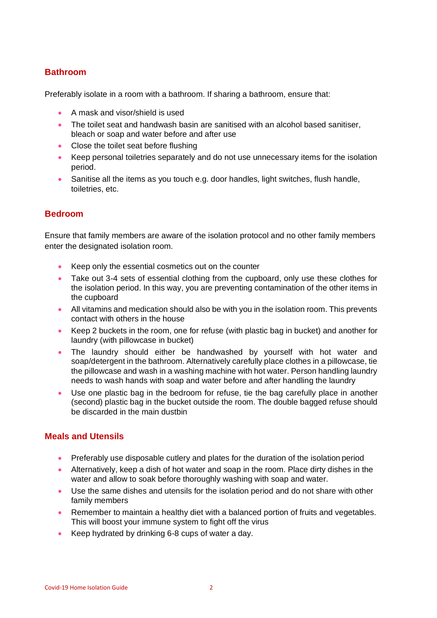#### **Bathroom**

Preferably isolate in a room with a bathroom. If sharing a bathroom, ensure that:

- A mask and visor/shield is used
- The toilet seat and handwash basin are sanitised with an alcohol based sanitiser, bleach or soap and water before and after use
- Close the toilet seat before flushing
- Keep personal toiletries separately and do not use unnecessary items for the isolation period.
- Sanitise all the items as you touch e.g. door handles, light switches, flush handle, toiletries, etc.

#### **Bedroom**

Ensure that family members are aware of the isolation protocol and no other family members enter the designated isolation room.

- Keep only the essential cosmetics out on the counter
- Take out 3-4 sets of essential clothing from the cupboard, only use these clothes for the isolation period. In this way, you are preventing contamination of the other items in the cupboard
- All vitamins and medication should also be with you in the isolation room. This prevents contact with others in the house
- Keep 2 buckets in the room, one for refuse (with plastic bag in bucket) and another for laundry (with pillowcase in bucket)
- The laundry should either be handwashed by yourself with hot water and soap/detergent in the bathroom. Alternatively carefully place clothes in a pillowcase, tie the pillowcase and wash in a washing machine with hot water. Person handling laundry needs to wash hands with soap and water before and after handling the laundry
- Use one plastic bag in the bedroom for refuse, tie the bag carefully place in another (second) plastic bag in the bucket outside the room. The double bagged refuse should be discarded in the main dustbin

#### **Meals and Utensils**

- Preferably use disposable cutlery and plates for the duration of the isolation period
- Alternatively, keep a dish of hot water and soap in the room. Place dirty dishes in the water and allow to soak before thoroughly washing with soap and water.
- Use the same dishes and utensils for the isolation period and do not share with other family members
- Remember to maintain a healthy diet with a balanced portion of fruits and vegetables. This will boost your immune system to fight off the virus
- Keep hydrated by drinking 6-8 cups of water a day.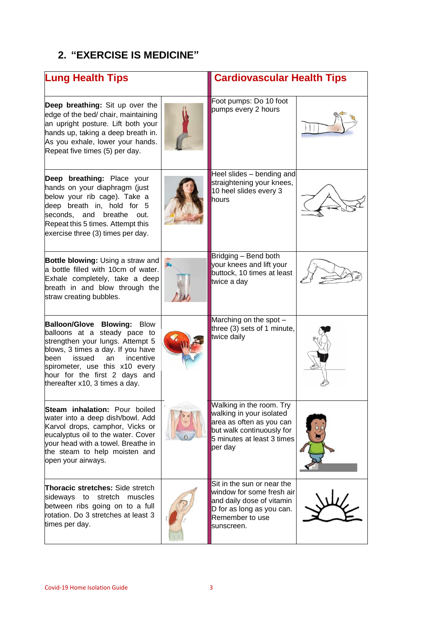## **2. "EXERCISE IS MEDICINE"**

| <b>Lung Health Tips</b>                                                                                                                                                                                                                                                               |  | <b>Cardiovascular Health Tips</b>                                                                                                                      |  |
|---------------------------------------------------------------------------------------------------------------------------------------------------------------------------------------------------------------------------------------------------------------------------------------|--|--------------------------------------------------------------------------------------------------------------------------------------------------------|--|
| Deep breathing: Sit up over the<br>edge of the bed/ chair, maintaining<br>an upright posture. Lift both your<br>hands up, taking a deep breath in.<br>As you exhale, lower your hands.<br>Repeat five times (5) per day.                                                              |  | Foot pumps: Do 10 foot<br>pumps every 2 hours                                                                                                          |  |
| Deep breathing: Place your<br>hands on your diaphragm (just<br>below your rib cage). Take a<br>deep breath in, hold for 5<br>seconds, and<br>breathe<br>out.<br>Repeat this 5 times. Attempt this<br>exercise three (3) times per day.                                                |  | Heel slides - bending and<br>straightening your knees,<br>10 heel slides every 3<br>hours                                                              |  |
| <b>Bottle blowing: Using a straw and</b><br>a bottle filled with 10cm of water.<br>Exhale completely, take a deep<br>breath in and blow through the<br>straw creating bubbles.                                                                                                        |  | Bridging - Bend both<br>your knees and lift your<br>buttock, 10 times at least<br>twice a day                                                          |  |
| <b>Balloon/Glove Blowing: Blow</b><br>balloons at a steady pace to<br>strengthen your lungs. Attempt 5<br>blows, 3 times a day. If you have<br>issued<br>an<br>incentive<br>been<br>spirometer, use this x10 every<br>hour for the first 2 days and<br>thereafter x10, 3 times a day. |  | Marching on the spot -<br>three (3) sets of 1 minute,<br>twice daily                                                                                   |  |
| <b>Steam inhalation: Pour boiled</b><br>water into a deep dish/bowl. Add<br>Karvol drops, camphor, Vicks or<br>eucalyptus oil to the water. Cover<br>your head with a towel. Breathe in<br>the steam to help moisten and<br>open your airways.                                        |  | Walking in the room. Try<br>walking in your isolated<br>area as often as you can<br>but walk continuously for<br>5 minutes at least 3 times<br>per day |  |
| <b>Thoracic stretches:</b> Side stretch<br>sideways to stretch muscles<br>between ribs going on to a full<br>rotation. Do 3 stretches at least 3<br>times per day.                                                                                                                    |  | Sit in the sun or near the<br>window for some fresh air<br>and daily dose of vitamin<br>D for as long as you can.<br>Remember to use<br>sunscreen.     |  |